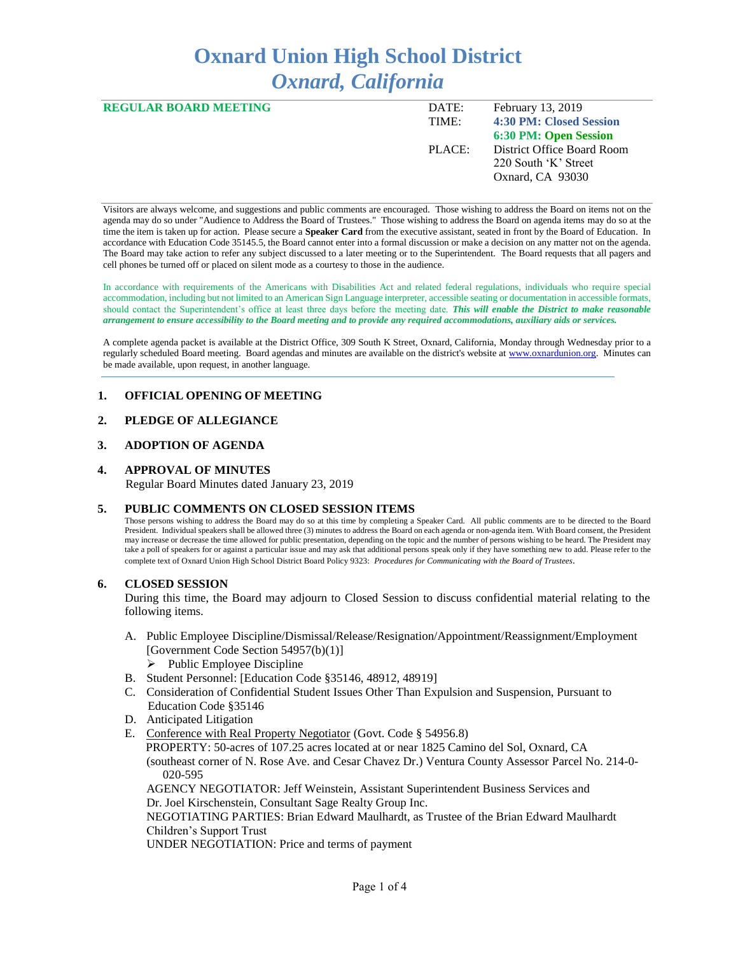# **Oxnard Union High School District** *Oxnard, California*

| <b>REGULAR BOARD MEETING</b> | DATE:  | February 13, 2019            |
|------------------------------|--------|------------------------------|
|                              | TIME:  | 4:30 PM: Closed Session      |
|                              |        | <b>6:30 PM: Open Session</b> |
|                              | PLACE: | District Office Board Room   |
|                              |        | 220 South 'K' Street         |
|                              |        | Oxnard, CA 93030             |
|                              |        |                              |

Visitors are always welcome, and suggestions and public comments are encouraged. Those wishing to address the Board on items not on the agenda may do so under "Audience to Address the Board of Trustees." Those wishing to address the Board on agenda items may do so at the time the item is taken up for action. Please secure a **Speaker Card** from the executive assistant, seated in front by the Board of Education. In accordance with Education Code 35145.5, the Board cannot enter into a formal discussion or make a decision on any matter not on the agenda. The Board may take action to refer any subject discussed to a later meeting or to the Superintendent. The Board requests that all pagers and cell phones be turned off or placed on silent mode as a courtesy to those in the audience.

In accordance with requirements of the Americans with Disabilities Act and related federal regulations, individuals who require special accommodation, including but not limited to an American Sign Language interpreter, accessible seating or documentation in accessible formats, should contact the Superintendent's office at least three days before the meeting date. *This will enable the District to make reasonable arrangement to ensure accessibility to the Board meeting and to provide any required accommodations, auxiliary aids or services.* 

A complete agenda packet is available at the District Office, 309 South K Street, Oxnard, California, Monday through Wednesday prior to a regularly scheduled Board meeting. Board agendas and minutes are available on the district's website a[t www.ox](http://www.o/)nardunion.org.Minutes can be made available, upon request, in another language.

## **1. OFFICIAL OPENING OF MEETING**

## **2. PLEDGE OF ALLEGIANCE**

### **3. ADOPTION OF AGENDA**

#### **4. APPROVAL OF MINUTES**

Regular Board Minutes dated January 23, 2019

#### **5. PUBLIC COMMENTS ON CLOSED SESSION ITEMS**

Those persons wishing to address the Board may do so at this time by completing a Speaker Card. All public comments are to be directed to the Board President. Individual speakers shall be allowed three (3) minutes to address the Board on each agenda or non-agenda item. With Board consent, the President may increase or decrease the time allowed for public presentation, depending on the topic and the number of persons wishing to be heard. The President may take a poll of speakers for or against a particular issue and may ask that additional persons speak only if they have something new to add. Please refer to the complete text of Oxnard Union High School District Board Policy 9323: *Procedures for Communicating with the Board of Trustees*.

#### **6. CLOSED SESSION**

During this time, the Board may adjourn to Closed Session to discuss confidential material relating to the following items.

- A. Public Employee Discipline/Dismissal/Release/Resignation/Appointment/Reassignment/Employment [Government Code Section 54957(b)(1)]
	- $\triangleright$  Public Employee Discipline
- B. Student Personnel: [Education Code §35146, 48912, 48919]
- C. Consideration of Confidential Student Issues Other Than Expulsion and Suspension, Pursuant to Education Code §35146
- D. Anticipated Litigation
- E. Conference with Real Property Negotiator (Govt. Code § 54956.8)

 PROPERTY: 50-acres of 107.25 acres located at or near 1825 Camino del Sol, Oxnard, CA (southeast corner of N. Rose Ave. and Cesar Chavez Dr.) Ventura County Assessor Parcel No. 214-0- 020-595

AGENCY NEGOTIATOR: Jeff Weinstein, Assistant Superintendent Business Services and Dr. Joel Kirschenstein, Consultant Sage Realty Group Inc.

NEGOTIATING PARTIES: Brian Edward Maulhardt, as Trustee of the Brian Edward Maulhardt Children's Support Trust

UNDER NEGOTIATION: Price and terms of payment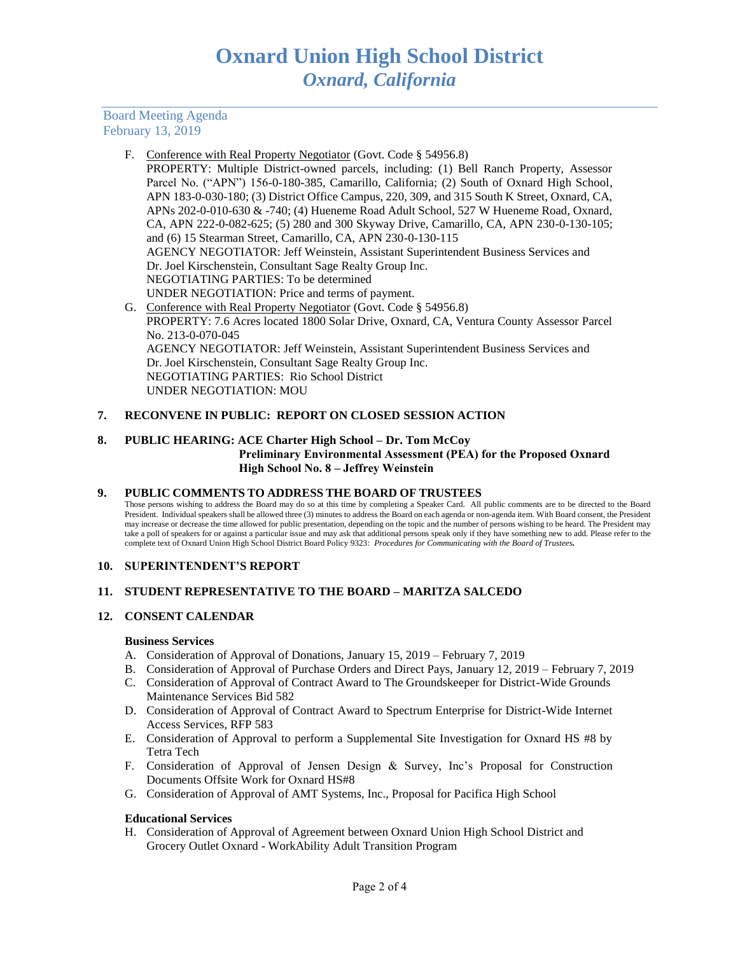Board Meeting Agenda February 13, 2019

F. Conference with Real Property Negotiator (Govt. Code § 54956.8)

PROPERTY: Multiple District-owned parcels, including: (1) Bell Ranch Property, Assessor Parcel No. ("APN") 156-0-180-385, Camarillo, California; (2) South of Oxnard High School, APN 183-0-030-180; (3) District Office Campus, 220, 309, and 315 South K Street, Oxnard, CA, APNs 202-0-010-630 & -740; (4) Hueneme Road Adult School, 527 W Hueneme Road, Oxnard, CA, APN 222-0-082-625; (5) 280 and 300 Skyway Drive, Camarillo, CA, APN 230-0-130-105; and (6) 15 Stearman Street, Camarillo, CA, APN 230-0-130-115 AGENCY NEGOTIATOR: Jeff Weinstein, Assistant Superintendent Business Services and Dr. Joel Kirschenstein, Consultant Sage Realty Group Inc. NEGOTIATING PARTIES: To be determined UNDER NEGOTIATION: Price and terms of payment. G. Conference with Real Property Negotiator (Govt. Code § 54956.8)

PROPERTY: 7.6 Acres located 1800 Solar Drive, Oxnard, CA, Ventura County Assessor Parcel No. 213-0-070-045 AGENCY NEGOTIATOR: Jeff Weinstein, Assistant Superintendent Business Services and Dr. Joel Kirschenstein, Consultant Sage Realty Group Inc. NEGOTIATING PARTIES: Rio School District UNDER NEGOTIATION: MOU

# **7. RECONVENE IN PUBLIC: REPORT ON CLOSED SESSION ACTION**

#### **8. PUBLIC HEARING: ACE Charter High School – Dr. Tom McCoy Preliminary Environmental Assessment (PEA) for the Proposed Oxnard High School No. 8 – Jeffrey Weinstein**

## **9. PUBLIC COMMENTS TO ADDRESS THE BOARD OF TRUSTEES**

Those persons wishing to address the Board may do so at this time by completing a Speaker Card. All public comments are to be directed to the Board President. Individual speakers shall be allowed three (3) minutes to address the Board on each agenda or non-agenda item. With Board consent, the President may increase or decrease the time allowed for public presentation, depending on the topic and the number of persons wishing to be heard. The President may take a poll of speakers for or against a particular issue and may ask that additional persons speak only if they have something new to add. Please refer to the complete text of Oxnard Union High School District Board Policy 9323: *Procedures for Communicating with the Board of Trustees.*

## **10. SUPERINTENDENT'S REPORT**

## **11. STUDENT REPRESENTATIVE TO THE BOARD – MARITZA SALCEDO**

## **12. CONSENT CALENDAR**

#### **Business Services**

- A. Consideration of Approval of Donations, January 15, 2019 February 7, 2019
- B. Consideration of Approval of Purchase Orders and Direct Pays, January 12, 2019 February 7, 2019
- C. Consideration of Approval of Contract Award to The Groundskeeper for District-Wide Grounds Maintenance Services Bid 582
- D. Consideration of Approval of Contract Award to Spectrum Enterprise for District-Wide Internet Access Services, RFP 583
- E. Consideration of Approval to perform a Supplemental Site Investigation for Oxnard HS #8 by Tetra Tech
- F. Consideration of Approval of Jensen Design & Survey, Inc's Proposal for Construction Documents Offsite Work for Oxnard HS#8
- G. Consideration of Approval of AMT Systems, Inc., Proposal for Pacifica High School

## **Educational Services**

H. Consideration of Approval of Agreement between Oxnard Union High School District and Grocery Outlet Oxnard - WorkAbility Adult Transition Program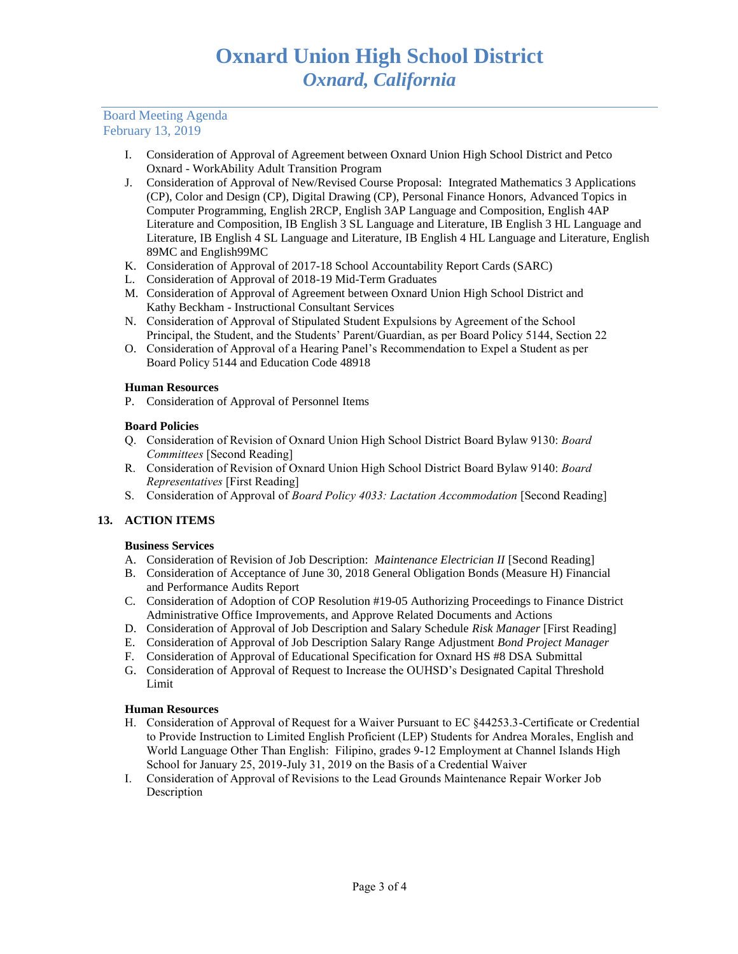# Board Meeting Agenda February 13, 2019

- I. Consideration of Approval of Agreement between Oxnard Union High School District and Petco Oxnard - WorkAbility Adult Transition Program
- J. Consideration of Approval of New/Revised Course Proposal: Integrated Mathematics 3 Applications (CP), Color and Design (CP), Digital Drawing (CP), Personal Finance Honors, Advanced Topics in Computer Programming, English 2RCP, English 3AP Language and Composition, English 4AP Literature and Composition, IB English 3 SL Language and Literature, IB English 3 HL Language and Literature, IB English 4 SL Language and Literature, IB English 4 HL Language and Literature, English 89MC and English99MC
- K. Consideration of Approval of 2017-18 School Accountability Report Cards (SARC)
- L. Consideration of Approval of 2018-19 Mid-Term Graduates
- M. Consideration of Approval of Agreement between Oxnard Union High School District and Kathy Beckham - Instructional Consultant Services
- N. Consideration of Approval of Stipulated Student Expulsions by Agreement of the School Principal, the Student, and the Students' Parent/Guardian, as per Board Policy 5144, Section 22
- O. Consideration of Approval of a Hearing Panel's Recommendation to Expel a Student as per Board Policy 5144 and Education Code 48918

## **Human Resources**

P. Consideration of Approval of Personnel Items

## **Board Policies**

- Q. Consideration of Revision of Oxnard Union High School District Board Bylaw 9130: *Board Committees* [Second Reading]
- R. Consideration of Revision of Oxnard Union High School District Board Bylaw 9140: *Board Representatives* [First Reading]
- S. Consideration of Approval of *Board Policy 4033: Lactation Accommodation* [Second Reading]

## **13. ACTION ITEMS**

## **Business Services**

- A. Consideration of Revision of Job Description: *Maintenance Electrician II* [Second Reading]
- B. Consideration of Acceptance of June 30, 2018 General Obligation Bonds (Measure H) Financial and Performance Audits Report
- C. Consideration of Adoption of COP Resolution #19-05 Authorizing Proceedings to Finance District Administrative Office Improvements, and Approve Related Documents and Actions
- D. Consideration of Approval of Job Description and Salary Schedule *Risk Manager* [First Reading]
- E. Consideration of Approval of Job Description Salary Range Adjustment *Bond Project Manager*
- F. Consideration of Approval of Educational Specification for Oxnard HS #8 DSA Submittal
- G. Consideration of Approval of Request to Increase the OUHSD's Designated Capital Threshold Limit

## **Human Resources**

- H. Consideration of Approval of Request for a Waiver Pursuant to EC §44253.3-Certificate or Credential to Provide Instruction to Limited English Proficient (LEP) Students for Andrea Morales, English and World Language Other Than English: Filipino, grades 9-12 Employment at Channel Islands High School for January 25, 2019-July 31, 2019 on the Basis of a Credential Waiver
- I. Consideration of Approval of Revisions to the Lead Grounds Maintenance Repair Worker Job **Description**